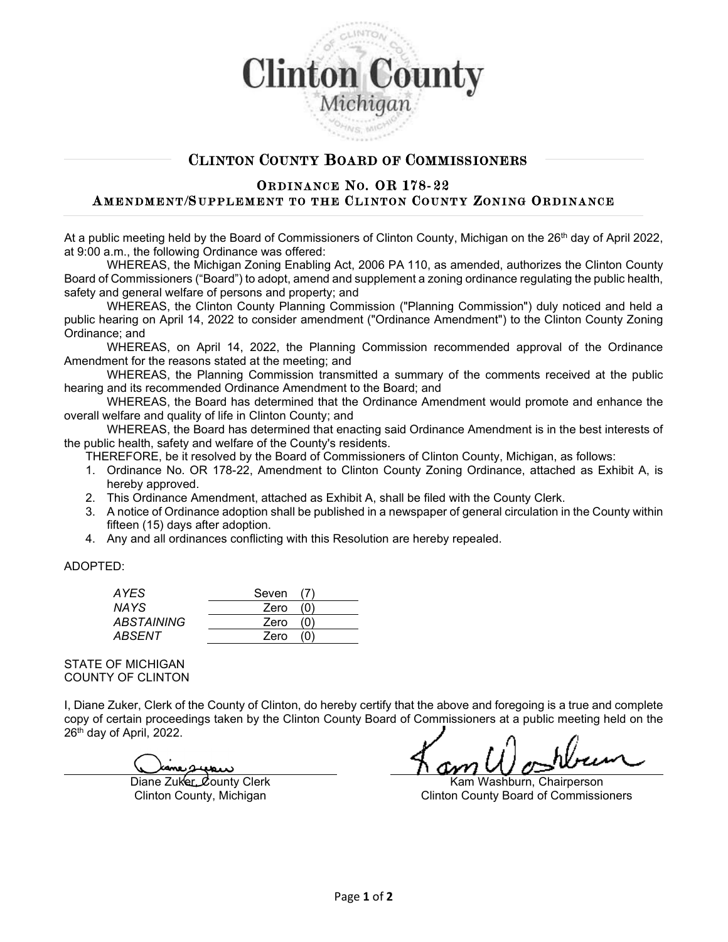

# CLINTON COUNTY BOARD OF COMMISSIONERS

## ORDINANCE NO. OR 178-22 AMENDMENT/SUPPLEMENT TO THE CLINTON COUNTY ZONING ORDINANCE

At a public meeting held by the Board of Commissioners of Clinton County, Michigan on the 26<sup>th</sup> day of April 2022, at 9:00 a.m., the following Ordinance was offered:

WHEREAS, the Michigan Zoning Enabling Act, 2006 PA 110, as amended, authorizes the Clinton County Board of Commissioners ("Board") to adopt, amend and supplement a zoning ordinance regulating the public health, safety and general welfare of persons and property; and

WHEREAS, the Clinton County Planning Commission ("Planning Commission") duly noticed and held a public hearing on April 14, 2022 to consider amendment ("Ordinance Amendment") to the Clinton County Zoning Ordinance; and

WHEREAS, on April 14, 2022, the Planning Commission recommended approval of the Ordinance Amendment for the reasons stated at the meeting; and

WHEREAS, the Planning Commission transmitted a summary of the comments received at the public hearing and its recommended Ordinance Amendment to the Board; and

WHEREAS, the Board has determined that the Ordinance Amendment would promote and enhance the overall welfare and quality of life in Clinton County; and

WHEREAS, the Board has determined that enacting said Ordinance Amendment is in the best interests of the public health, safety and welfare of the County's residents.

THEREFORE, be it resolved by the Board of Commissioners of Clinton County, Michigan, as follows:

- 1. Ordinance No. OR 178-22, Amendment to Clinton County Zoning Ordinance, attached as Exhibit A, is hereby approved.
- 2. This Ordinance Amendment, attached as Exhibit A, shall be filed with the County Clerk.
- 3. A notice of Ordinance adoption shall be published in a newspaper of general circulation in the County within fifteen (15) days after adoption.
- 4. Any and all ordinances conflicting with this Resolution are hereby repealed.

#### ADOPTED:

| AYES.      | Seven (7) |     |  |
|------------|-----------|-----|--|
| NAYS.      | Zero      |     |  |
| ABSTAINING | Zero      | (0) |  |
| ABSENT     | Zero      |     |  |

STATE OF MICHIGAN COUNTY OF CLINTON

I, Diane Zuker, Clerk of the County of Clinton, do hereby certify that the above and foregoing is a true and complete copy of certain proceedings taken by the Clinton County Board of Commissioners at a public meeting held on the 26th day of April, 2022.

kane system

Diane Zuker, County Clerk Kam Washburn, Chairperson Clinton County, Michigan Clinton County Board of Commissioners